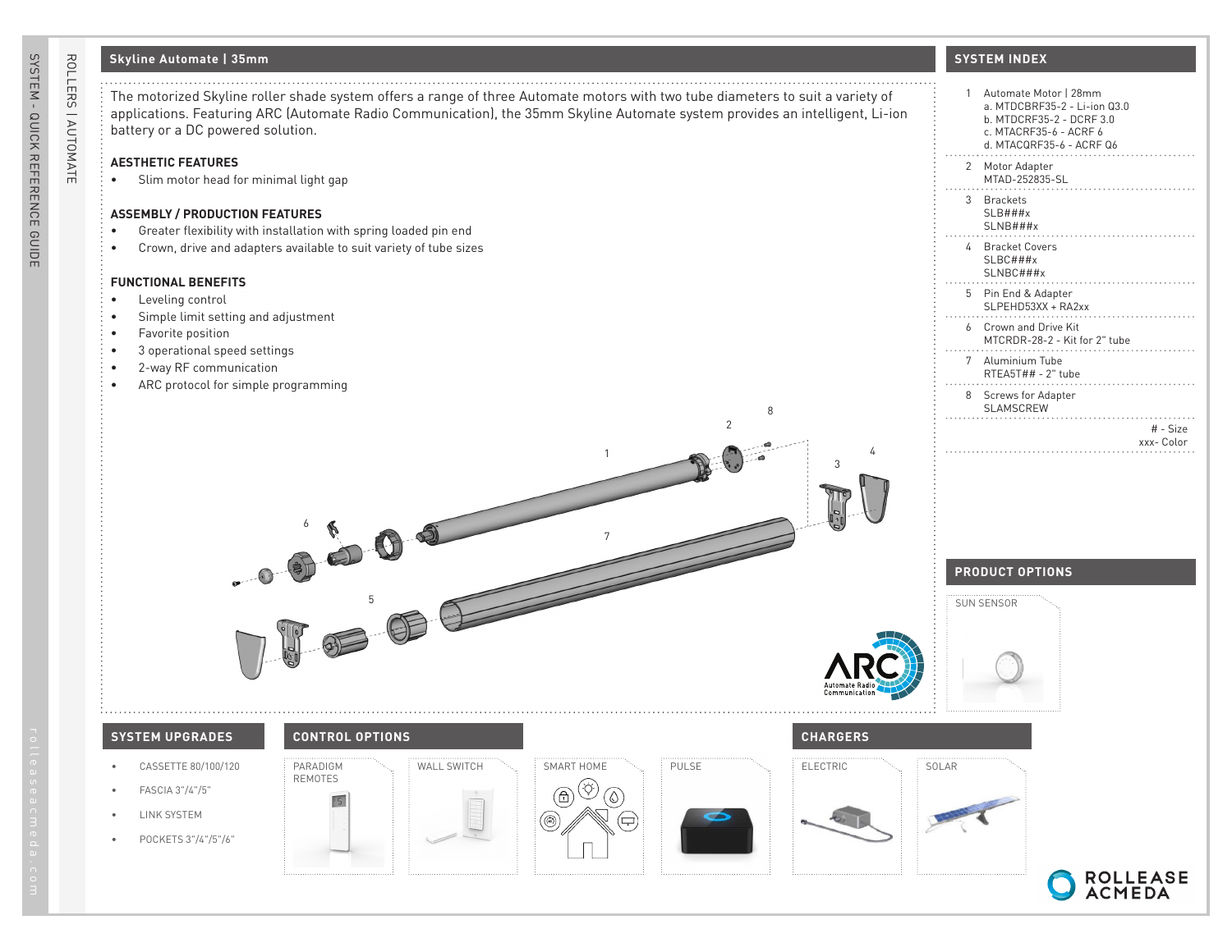# **Skyline Automate | 35mm**

7

1

2

8

## **AESTHETIC FEATURES**

• Slim motor head for minimal light gap

### **ASSEMBLY / PRODUCTION FEATURES**

- Greater flexibility with installation with spring loaded pin end
- Crown, drive and adapters available to suit variety of tube sizes

6

#### **FUNCTIONAL BENEFITS**

- Leveling control
- Simple limit setting and adjustment
- Favorite position
- 3 operational speed settings
- 2-way RF communication
- ARC protocol for simple programming

## **SYSTEM INDEX**

| 1            | Automate Motor   28mm<br>a. MTDCBRF35-2 - Li-ion 03.0<br>b. MTDCRF35-2 - DCRF 3.0<br>c. MTACRF35-6 - ACRF 6<br>d. MTACQRF35-6 - ACRF Q6 |
|--------------|-----------------------------------------------------------------------------------------------------------------------------------------|
| $\mathbf{2}$ | Motor Adapter<br>MTAD-252835-SL                                                                                                         |
| 3            | <b>Brackets</b><br>SLB###x<br>SLNB###x                                                                                                  |
| 4            | <b>Bracket Covers</b><br>$SLBC$ ###x<br>SLNBC###x                                                                                       |
| 5            | Pin End & Adapter<br>SLPEHD53XX + RA2xx<br>.                                                                                            |
| 6            | Crown and Drive Kit<br>MTCRDR-28-2 - Kit for 2" tube                                                                                    |
| 7            | Aluminium Tube<br>RTEA5T## - 2" tube                                                                                                    |
| 8            | <b>Screws for Adapter</b><br>SLAMSCREW<br>.                                                                                             |
|              | $#$ - Size<br>xxx-Color                                                                                                                 |
|              |                                                                                                                                         |

# **PRODUCT OPTIONS**



4

3





• POCKETS 3"/4"/5"/6"

ROLLERS | AUTOMATE

ROLLERS | AUTOMATE